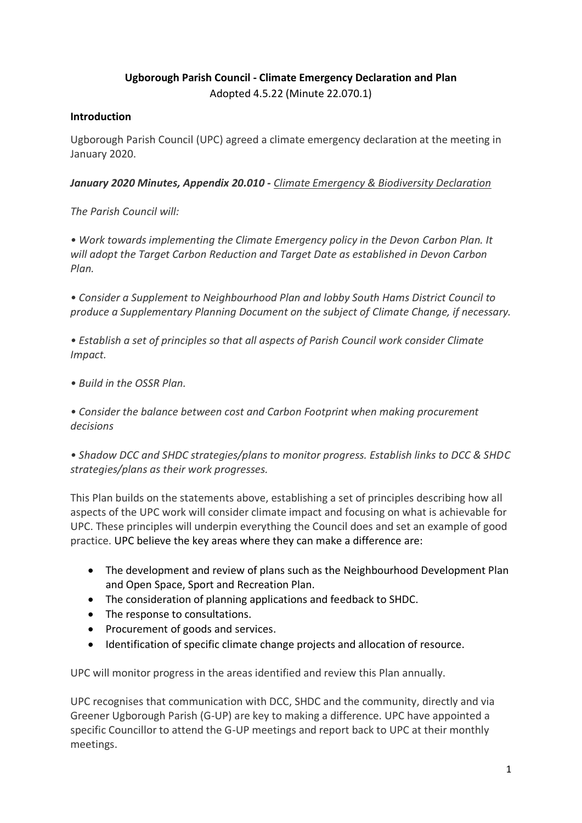# **Ugborough Parish Council - Climate Emergency Declaration and Plan** Adopted 4.5.22 (Minute 22.070.1)

#### **Introduction**

Ugborough Parish Council (UPC) agreed a climate emergency declaration at the meeting in January 2020.

*January 2020 Minutes, Appendix 20.010 - Climate Emergency & Biodiversity Declaration*

*The Parish Council will:*

• Work towards implementing the Climate Emergency policy in the Devon Carbon Plan. It *will adopt the Target Carbon Reduction and Target Date as established in Devon Carbon Plan.*

*• Consider a Supplement to Neighbourhood Plan and lobby South Hams District Council to produce a Supplementary Planning Document on the subject of Climate Change, if necessary.*

*• Establish a set of principles so that all aspects of Parish Council work consider Climate Impact.*

*• Build in the OSSR Plan.*

*• Consider the balance between cost and Carbon Footprint when making procurement decisions*

*• Shadow DCC and SHDC strategies/plans to monitor progress. Establish links to DCC & SHDC strategies/plans as their work progresses.*

This Plan builds on the statements above, establishing a set of principles describing how all aspects of the UPC work will consider climate impact and focusing on what is achievable for UPC. These principles will underpin everything the Council does and set an example of good practice. UPC believe the key areas where they can make a difference are:

- The development and review of plans such as the Neighbourhood Development Plan and Open Space, Sport and Recreation Plan.
- The consideration of planning applications and feedback to SHDC.
- The response to consultations.
- Procurement of goods and services.
- Identification of specific climate change projects and allocation of resource.

UPC will monitor progress in the areas identified and review this Plan annually.

UPC recognises that communication with DCC, SHDC and the community, directly and via Greener Ugborough Parish (G-UP) are key to making a difference. UPC have appointed a specific Councillor to attend the G-UP meetings and report back to UPC at their monthly meetings.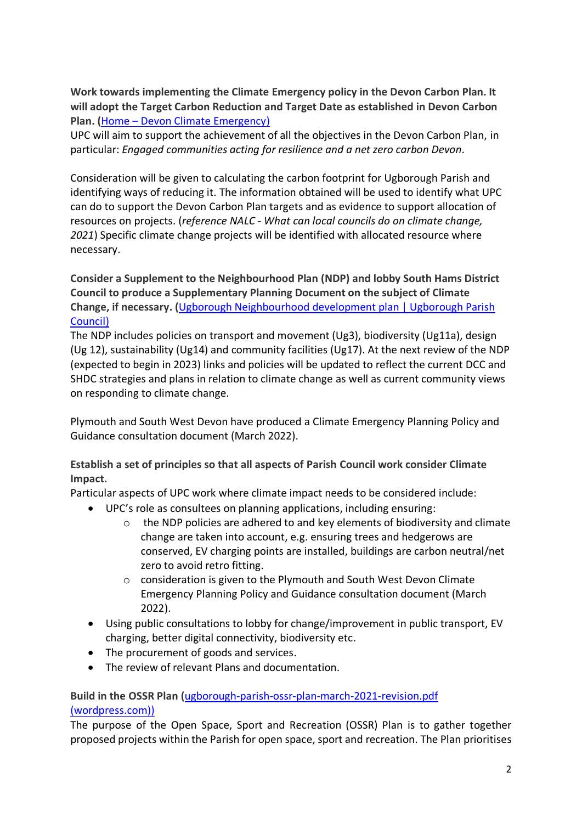**Work towards implementing the Climate Emergency policy in the Devon Carbon Plan. It will adopt the Target Carbon Reduction and Target Date as established in Devon Carbon Plan. (**Home – [Devon Climate Emergency\)](https://www.devonclimateemergency.org.uk/interimcarbonplan/)

UPC will aim to support the achievement of all the objectives in the Devon Carbon Plan, in particular: *Engaged communities acting for resilience and a net zero carbon Devon.*

Consideration will be given to calculating the carbon footprint for Ugborough Parish and identifying ways of reducing it. The information obtained will be used to identify what UPC can do to support the Devon Carbon Plan targets and as evidence to support allocation of resources on projects. (*reference NALC - What can local councils do on climate change, 2021*) Specific climate change projects will be identified with allocated resource where necessary.

**Consider a Supplement to the Neighbourhood Plan (NDP) and lobby South Hams District Council to produce a Supplementary Planning Document on the subject of Climate Change, if necessary. (**[Ugborough Neighbourhood development plan | Ugborough Parish](https://ugboroughparishcouncil.org/ugborough-neighbourhood-development-plan/)  [Council\)](https://ugboroughparishcouncil.org/ugborough-neighbourhood-development-plan/)

The NDP includes policies on transport and movement (Ug3), biodiversity (Ug11a), design (Ug 12), sustainability (Ug14) and community facilities (Ug17). At the next review of the NDP (expected to begin in 2023) links and policies will be updated to reflect the current DCC and SHDC strategies and plans in relation to climate change as well as current community views on responding to climate change.

Plymouth and South West Devon have produced a Climate Emergency Planning Policy and Guidance consultation document (March 2022).

**Establish a set of principles so that all aspects of Parish Council work consider Climate Impact.**

Particular aspects of UPC work where climate impact needs to be considered include:

- UPC's role as consultees on planning applications, including ensuring:
	- o the NDP policies are adhered to and key elements of biodiversity and climate change are taken into account, e.g. ensuring trees and hedgerows are conserved, EV charging points are installed, buildings are carbon neutral/net zero to avoid retro fitting.
	- o consideration is given to the Plymouth and South West Devon Climate Emergency Planning Policy and Guidance consultation document (March 2022).
- Using public consultations to lobby for change/improvement in public transport, EV charging, better digital connectivity, biodiversity etc.
- The procurement of goods and services.
- The review of relevant Plans and documentation.

## **Build in the OSSR Plan (**[ugborough-parish-ossr-plan-march-2021-revision.pdf](https://ugboroughpc.files.wordpress.com/2021/03/ugborough-parish-ossr-plan-march-2021-revision.pdf)  [\(wordpress.com\)\)](https://ugboroughpc.files.wordpress.com/2021/03/ugborough-parish-ossr-plan-march-2021-revision.pdf)

The purpose of the Open Space, Sport and Recreation (OSSR) Plan is to gather together proposed projects within the Parish for open space, sport and recreation. The Plan prioritises